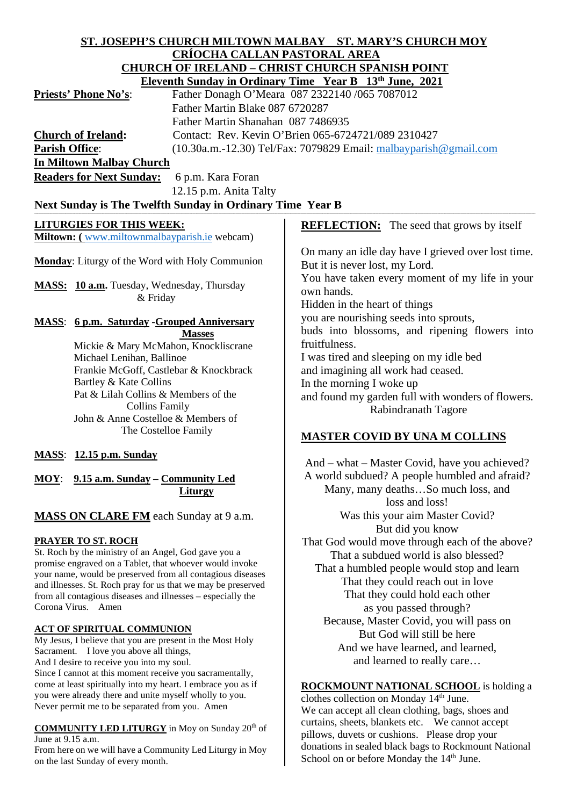### **ST. JOSEPH'S CHURCH MILTOWN MALBAY ST. MARY'S CHURCH MOY CRÍOCHA CALLAN PASTORAL AREA CHURCH OF IRELAND – CHRIST CHURCH SPANISH POINT Eleventh Sunday in Ordinary Time Year B 13th June, 2021**

|                                 | Eleventh Sunday in Ordinary Thile Fear D To June, 2021                |
|---------------------------------|-----------------------------------------------------------------------|
| <b>Priests' Phone No's:</b>     | Father Donagh O'Meara 087 2322140 /065 7087012                        |
|                                 | Father Martin Blake 087 6720287                                       |
|                                 | Father Martin Shanahan 087 7486935                                    |
| <b>Church of Ireland:</b>       | Contact: Rev. Kevin O'Brien 065-6724721/089 2310427                   |
| <b>Parish Office:</b>           | $(10.30a.m.-12.30)$ Tel/Fax: 7079829 Email: $m$ albayparish@gmail.com |
| <b>In Miltown Malbay Church</b> |                                                                       |
|                                 |                                                                       |

Readers for Next Sunday: 6 p.m. Kara Foran 12.15 p.m. Anita Talty

# Next Sunday is The Twelfth Sunday in Ordinary Time Year B

# **LITURGIES FOR THIS WEEK:**

**Miltown: (** [www.miltownmalbayparish.ie](http://www.miltownmalbayparish.ie/) webcam)

**Monday**: Liturgy of the Word with Holy Communion

**MASS: 10 a.m.** Tuesday, Wednesday, Thursday & Friday

#### **MASS**: **6 p.m. Saturday -Grouped Anniversary Masses**

 Mickie & Mary McMahon, Knockliscrane Michael Lenihan, Ballinoe Frankie McGoff, Castlebar & Knockbrack Bartley & Kate Collins Pat & Lilah Collins & Members of the Collins Family John & Anne Costelloe & Members of The Costelloe Family

# **MASS**: **12.15 p.m. Sunday**

# **MOY**: **9.15 a.m. Sunday – Community Led Liturgy**

# **MASS ON CLARE FM** each Sunday at 9 a.m.

# **PRAYER TO ST. ROCH**

St. Roch by the ministry of an Angel, God gave you a promise engraved on a Tablet, that whoever would invoke your name, would be preserved from all contagious diseases and illnesses. St. Roch pray for us that we may be preserved from all contagious diseases and illnesses – especially the Corona Virus. Amen

# **ACT OF SPIRITUAL COMMUNION**

My Jesus, I believe that you are present in the Most Holy Sacrament. I love you above all things, And I desire to receive you into my soul. Since I cannot at this moment receive you sacramentally, come at least spiritually into my heart. I embrace you as if you were already there and unite myself wholly to you. Never permit me to be separated from you. Amen

#### **COMMUNITY LED LITURGY** in Moy on Sunday 20<sup>th</sup> of June at 9.15 a.m.

From here on we will have a Community Led Liturgy in Moy on the last Sunday of every month.

**REFLECTION:** The seed that grows by itself

On many an idle day have I grieved over lost time. But it is never lost, my Lord. You have taken every moment of my life in your own hands. Hidden in the heart of things you are nourishing seeds into sprouts, buds into blossoms, and ripening flowers into fruitfulness. I was tired and sleeping on my idle bed and imagining all work had ceased. In the morning I woke up and found my garden full with wonders of flowers. Rabindranath Tagore

# **MASTER COVID BY UNA M COLLINS**

And – what – Master Covid, have you achieved? A world subdued? A people humbled and afraid? Many, many deaths…So much loss, and loss and loss! Was this your aim Master Covid? But did you know That God would move through each of the above? That a subdued world is also blessed? That a humbled people would stop and learn That they could reach out in love That they could hold each other as you passed through? Because, Master Covid, you will pass on But God will still be here And we have learned, and learned, and learned to really care…

# **ROCKMOUNT NATIONAL SCHOOL** is holding a

clothes collection on Monday 14<sup>th</sup> June. We can accept all clean clothing, bags, shoes and curtains, sheets, blankets etc. We cannot accept pillows, duvets or cushions. Please drop your donations in sealed black bags to Rockmount National School on or before Monday the 14<sup>th</sup> June.